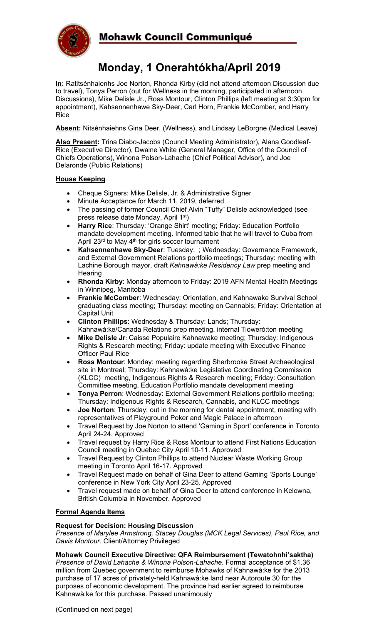

## Mohawk Council Communiqué

# **Monday, 1 Onerahtókha/April 2019**

**In:** Ratitsénhaienhs Joe Norton, Rhonda Kirby (did not attend afternoon Discussion due to travel), Tonya Perron (out for Wellness in the morning, participated in afternoon Discussions), Mike Delisle Jr., Ross Montour, Clinton Phillips (left meeting at 3:30pm for appointment), Kahsennenhawe Sky-Deer, Carl Horn, Frankie McComber, and Harry Rice

**Absent:** Nitsénhaiehns Gina Deer, (Wellness), and Lindsay LeBorgne (Medical Leave)

**Also Present:** Trina Diabo-Jacobs (Council Meeting Administrator), Alana Goodleaf-Rice (Executive Director), Dwaine White (General Manager, Office of the Council of Chiefs Operations), Winona Polson-Lahache (Chief Political Advisor), and Joe Delaronde (Public Relations)

#### **House Keeping**

- Cheque Signers: Mike Delisle, Jr. & Administrative Signer
- Minute Acceptance for March 11, 2019, deferred
- The passing of former Council Chief Alvin "Tuffy" Delisle acknowledged (see press release date Monday, April 1st)
- **Harry Rice**: Thursday: 'Orange Shirt' meeting; Friday: Education Portfolio mandate development meeting. Informed table that he will travel to Cuba from April 23<sup>rd</sup> to May 4<sup>th</sup> for girls soccer tournament
- **Kahsennenhawe Sky-Deer**: Tuesday: ; Wednesday: Governance Framework, and External Government Relations portfolio meetings; Thursday: meeting with Lachine Borough mayor, draft *Kahnawà:ke Residency Law* prep meeting and Hearing
- **Rhonda Kirby**: Monday afternoon to Friday: 2019 AFN Mental Health Meetings in Winnipeg, Manitoba
- **Frankie McComber**: Wednesday: Orientation, and Kahnawake Survival School graduating class meeting; Thursday: meeting on Cannabis; Friday: Orientation at Capital Unit
- **Clinton Phillips**: Wednesday & Thursday: Lands; Thursday: Kahnawà:ke/Canada Relations prep meeting, internal Tioweró:ton meeting
- **Mike Delisle Jr**: Caisse Populaire Kahnawake meeting; Thursday: Indigenous Rights & Research meeting; Friday: update meeting with Executive Finance Officer Paul Rice
- **Ross Montour**: Monday: meeting regarding Sherbrooke Street Archaeological site in Montreal; Thursday: Kahnawà:ke Legislative Coordinating Commission (KLCC) meeting, Indigenous Rights & Research meeting; Friday: Consultation Committee meeting, Education Portfolio mandate development meeting
- **Tonya Perron**: Wednesday: External Government Relations portfolio meeting; Thursday: Indigenous Rights & Research, Cannabis, and KLCC meetings
- **Joe Norton**: Thursday: out in the morning for dental appointment, meeting with representatives of Playground Poker and Magic Palace in afternoon
- Travel Request by Joe Norton to attend 'Gaming in Sport' conference in Toronto April 24-24. Approved
- Travel request by Harry Rice & Ross Montour to attend First Nations Education Council meeting in Quebec City April 10-11. Approved
- Travel Request by Clinton Phillips to attend Nuclear Waste Working Group meeting in Toronto April 16-17. Approved
- Travel Request made on behalf of Gina Deer to attend Gaming 'Sports Lounge' conference in New York City April 23-25. Approved
- Travel request made on behalf of Gina Deer to attend conference in Kelowna, British Columbia in November. Approved

### **Formal Agenda Items**

#### **Request for Decision: Housing Discussion**

*Presence of Marylee Armstrong, Stacey Douglas (MCK Legal Services), Paul Rice, and Davis Montour.* Client/Attorney Privileged

#### **Mohawk Council Executive Directive: QFA Reimbursement (Tewatohnhi'saktha)**

*Presence of David Lahache & Winona Polson-Lahache*. Formal acceptance of \$1.36 million from Quebec government to reimburse Mohawks of Kahnawà:ke for the 2013 purchase of 17 acres of privately-held Kahnawà:ke land near Autoroute 30 for the purposes of economic development. The province had earlier agreed to reimburse Kahnawà:ke for this purchase. Passed unanimously